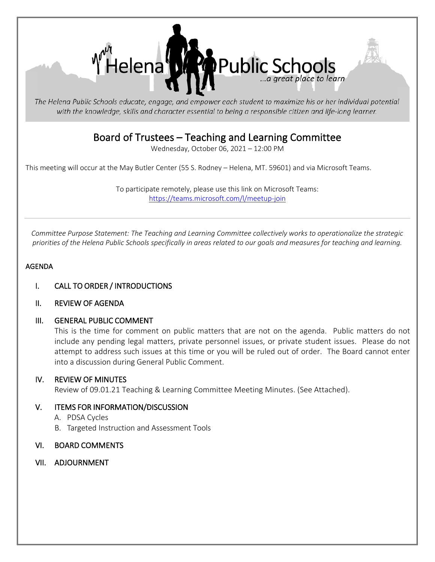

The Helena Public Schools educate, engage, and empower each student to maximize his or her individual potential with the knowledge, skills and character essential to being a responsible citizen and life-long learner.

# Board of Trustees – Teaching and Learning Committee<br>Wednesday, October 06, 2021 – 12:00 PM

This meeting will occur at the May Butler Center (55 S. Rodney – Helena, MT. 59601) and via Microsoft Teams.

To participate remotely, please use this link on Microsoft Teams: [https://teams.microsoft.com/l/meetup-join](https://teams.microsoft.com/l/meetup-join/19%3ameeting_YTQyMTgxOGMtZWY3ZC00OWE1LTgxMDMtY2E1ZGRlZmYyZmEw%40thread.v2/0?context=%7b%22Tid%22%3a%22f4b4f9cd-c417-4e65-8143-10d0fe789053%22%2c%22Oid%22%3a%2200568965-fcfe-44b0-b7cc-997c288febfa%22%7d)

*Committee Purpose Statement: The Teaching and Learning Committee collectively works to operationalize the strategic priorities of the Helena Public Schools specifically in areas related to our goals and measures for teaching and learning.* 

# AGENDA

- I. CALL TO ORDER / INTRODUCTIONS
- II. REVIEW OF AGENDA

### III. GENERAL PUBLIC COMMENT

This is the time for comment on public matters that are not on the agenda. Public matters do not include any pending legal matters, private personnel issues, or private student issues. Please do not attempt to address such issues at this time or you will be ruled out of order. The Board cannot enter into a discussion during General Public Comment.

### IV. REVIEW OF MINUTES

Review of 09.01.21 Teaching & Learning Committee Meeting Minutes. (See Attached).

# V. ITEMS FOR INFORMATION/DISCUSSION

- A. PDSA Cycles
- B. Targeted Instruction and Assessment Tools

### VI. BOARD COMMENTS

VII. ADJOURNMENT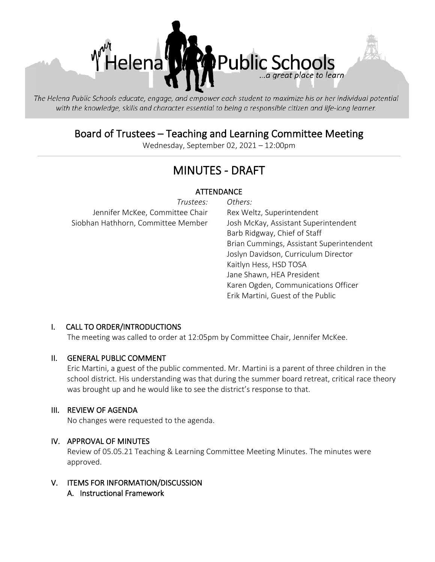

The Helena Public Schools educate, engage, and empower each student to maximize his or her individual potential with the knowledge, skills and character essential to being a responsible citizen and life-long learner.

# Board of Trustees – Teaching and Learning Committee Meeting<br>Wednesday, September 02, 2021 – 12:00pm

# MINUTES - DRAFT

# **ATTENDANCE**

| Trustees:                          | Others: |
|------------------------------------|---------|
| Jennifer McKee, Committee Chair    | Rex We  |
| Siobhan Hathhorn, Committee Member | Josh M  |

Rex Weltz, Superintendent Josh McKay, Assistant Superintendent Barb Ridgway, Chief of Staff Brian Cummings, Assistant Superintendent Joslyn Davidson, Curriculum Director Kaitlyn Hess, HSD TOSA Jane Shawn, HEA President Karen Ogden, Communications Officer Erik Martini, Guest of the Public

# I. CALL TO ORDER/INTRODUCTIONS

The meeting was called to order at 12:05pm by Committee Chair, Jennifer McKee.

### II. GENERAL PUBLIC COMMENT

Eric Martini, a guest of the public commented. Mr. Martini is a parent of three children in the school district. His understanding was that during the summer board retreat, critical race theory was brought up and he would like to see the district's response to that.

### III. REVIEW OF AGENDA

No changes were requested to the agenda.

# IV. APPROVAL OF MINUTES

Review of 05.05.21 Teaching & Learning Committee Meeting Minutes. The minutes were approved.

#### V. ITEMS FOR INFORMATION/DISCUSSION A. Instructional Framework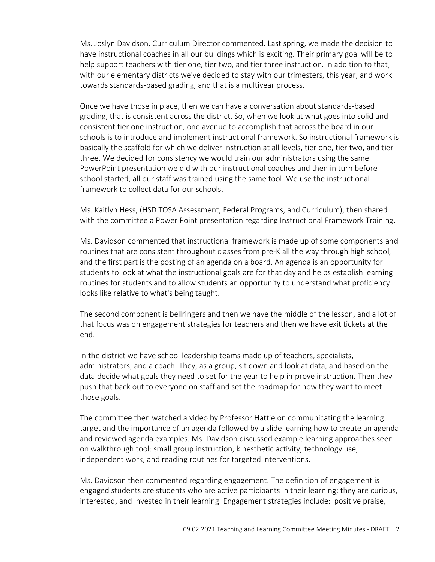Ms. Joslyn Davidson, Curriculum Director commented. Last spring, we made the decision to have instructional coaches in all our buildings which is exciting. Their primary goal will be to help support teachers with tier one, tier two, and tier three instruction. In addition to that, with our elementary districts we've decided to stay with our trimesters, this year, and work towards standards-based grading, and that is a multiyear process.

Once we have those in place, then we can have a conversation about standards-based grading, that is consistent across the district. So, when we look at what goes into solid and consistent tier one instruction, one avenue to accomplish that across the board in our schools is to introduce and implement instructional framework. So instructional framework is basically the scaffold for which we deliver instruction at all levels, tier one, tier two, and tier three. We decided for consistency we would train our administrators using the same PowerPoint presentation we did with our instructional coaches and then in turn before school started, all our staff was trained using the same tool. We use the instructional framework to collect data for our schools.

Ms. Kaitlyn Hess, (HSD TOSA Assessment, Federal Programs, and Curriculum), then shared with the committee a Power Point presentation regarding Instructional Framework Training.

Ms. Davidson commented that instructional framework is made up of some components and routines that are consistent throughout classes from pre-K all the way through high school, and the first part is the posting of an agenda on a board. An agenda is an opportunity for students to look at what the instructional goals are for that day and helps establish learning routines for students and to allow students an opportunity to understand what proficiency looks like relative to what's being taught.

The second component is bellringers and then we have the middle of the lesson, and a lot of that focus was on engagement strategies for teachers and then we have exit tickets at the end.

In the district we have school leadership teams made up of teachers, specialists, administrators, and a coach. They, as a group, sit down and look at data, and based on the data decide what goals they need to set for the year to help improve instruction. Then they push that back out to everyone on staff and set the roadmap for how they want to meet those goals.

The committee then watched a video by Professor Hattie on communicating the learning target and the importance of an agenda followed by a slide learning how to create an agenda and reviewed agenda examples. Ms. Davidson discussed example learning approaches seen on walkthrough tool: small group instruction, kinesthetic activity, technology use, independent work, and reading routines for targeted interventions.

Ms. Davidson then commented regarding engagement. The definition of engagement is engaged students are students who are active participants in their learning; they are curious, interested, and invested in their learning. Engagement strategies include: positive praise,